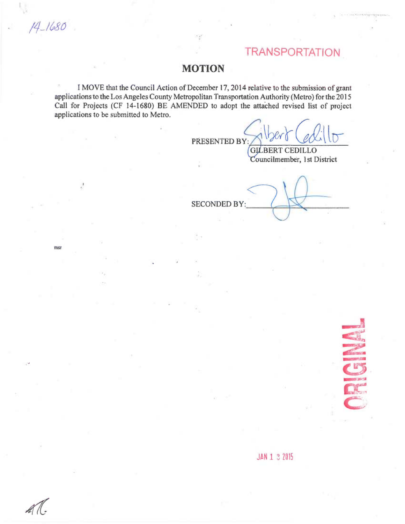$14 - 1680$ 

MST

# **TRANSPORTATION**

## **MOTION**

I MOVE that the Council Action of December 17, 2014 relative to the submission of grant applications to the Los Angeles County Metropolitan Transportation Authority (Metro) for the 2015 Call for Projects (CF 14-1680) BE AMENDED to adopt the attached revised list of project applications to be submitted to Metro.

PRESENTED BY:

GILBERT CEDILLO<br>Councilmember, 1st District GILBERT CEDILLO

SECONDED BY:



### JAN 1 3 2015

 $AL$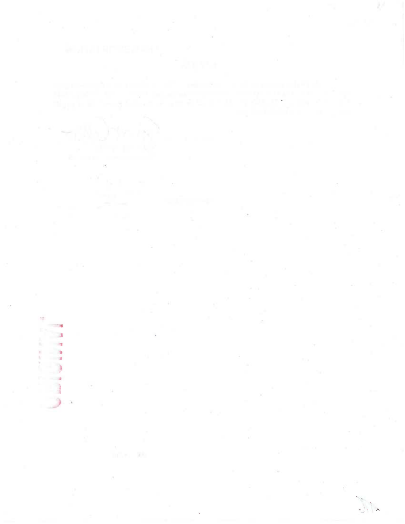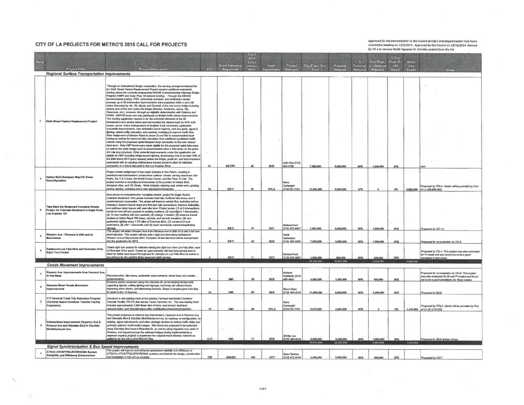Approved for Recommendation to the Council at City's interdepartmental Task Force<br>Committee Meeting on 12/5/2014 - Approved by the Council on 12/16/2014. Revised<br>by CD-1 to remove North Figueroa St. Corridor project from t

| Rank                    |                                                                                                                    |                                                                                                                                                                                                                                                                                                                                                                                                                                                                                                                                                                                                                                                                                                                                                                                                                                                                                                                                                                                                                                                                                                                                                                                                                                                                                                                                                                                                                                                                                                                                                                                                                                                                                                                                                                                                                                                                                                                                                                                                                             |           |                                    | City's<br>2015<br>Score |                    |                                                               |                         |                        |            | City Prop.             | % City<br>Prop, C/ | Other     |                                                                                                                                                     |
|-------------------------|--------------------------------------------------------------------------------------------------------------------|-----------------------------------------------------------------------------------------------------------------------------------------------------------------------------------------------------------------------------------------------------------------------------------------------------------------------------------------------------------------------------------------------------------------------------------------------------------------------------------------------------------------------------------------------------------------------------------------------------------------------------------------------------------------------------------------------------------------------------------------------------------------------------------------------------------------------------------------------------------------------------------------------------------------------------------------------------------------------------------------------------------------------------------------------------------------------------------------------------------------------------------------------------------------------------------------------------------------------------------------------------------------------------------------------------------------------------------------------------------------------------------------------------------------------------------------------------------------------------------------------------------------------------------------------------------------------------------------------------------------------------------------------------------------------------------------------------------------------------------------------------------------------------------------------------------------------------------------------------------------------------------------------------------------------------------------------------------------------------------------------------------------------------|-----------|------------------------------------|-------------------------|--------------------|---------------------------------------------------------------|-------------------------|------------------------|------------|------------------------|--------------------|-----------|-----------------------------------------------------------------------------------------------------------------------------------------------------|
|                         | Project Title                                                                                                      | <b>Project Description</b>                                                                                                                                                                                                                                                                                                                                                                                                                                                                                                                                                                                                                                                                                                                                                                                                                                                                                                                                                                                                                                                                                                                                                                                                                                                                                                                                                                                                                                                                                                                                                                                                                                                                                                                                                                                                                                                                                                                                                                                                  | CD        | <b>Grant Category</b><br>Requested | (100 pts.<br>Max.       | Lead               | Project                                                       | City Engs, Est.<br>Cast | Funding                |            | Funding C/Measure      | MRT                | City      |                                                                                                                                                     |
|                         | Regional Surface Transportation Improvements                                                                       |                                                                                                                                                                                                                                                                                                                                                                                                                                                                                                                                                                                                                                                                                                                                                                                                                                                                                                                                                                                                                                                                                                                                                                                                                                                                                                                                                                                                                                                                                                                                                                                                                                                                                                                                                                                                                                                                                                                                                                                                                             |           |                                    |                         | Department         | Manager                                                       |                         | Request                | Reguest    | <b>R</b> Match         | Match              | Funds     | <b>Notes</b>                                                                                                                                        |
|                         | Sbrth Street Vladuct Replacement Project                                                                           | Through an international design competition, the winning concept envisioned for<br>the Sixth Street Viaduct Replacement Project requires additional overmetch<br>funding above the currently programmed \$422M of predominately Highway Bridge<br>Program (HBP) and State Prop 1B Selsmic funding. Through the EIR/EIS<br>(environmental justice), PSR, community outreach, and preliminary design<br>process, up to 33 intersection improvements were proposed within a one mile<br>redius (bounded by 4th, 7th, Boyle, and Central) of the new iconic bridge including<br>streets east of the river below the bridge (Mission, Andarson, Jesse, Rio,<br>Clearance, etc.); however, through an eligibility determination with Caltrans and<br>FHWA, HBP/1B funds can only perticipate on limited traffic detour improvements.<br>This funding application request is for the unfunded elements of the 33<br>intersections and streets below and surrounding the vieduot such as ADA curb<br>ramps, corner radius enlargements to facilitate truck movement, pedestrian<br>crosswalk improvements, new sidewalks (some repairs), new bus peds, signal &<br>lighting, related utility relocation, and roadway restriping to improve traffic flow.<br>Note realignment of Mission Road at Jasse St and Rio to accommodate truck<br>turning as well as for improved bike circulation from additional cyclist/ped traffic<br>volume using the proposed spiral bike/ped ramp connection to the new viaduct<br>deck level. Note HBP funds were made eligible for the proposed spiral bike ramp<br>as well as the wider bridge deck to accommodate class 2 bike lanes on the entire<br>3/4 mile long structure. Other potential improvements under this application not<br>eligible for HBP including bridge accent lighting, landscaping (not to exceed 10% of<br>the \$6M Metro RSTI grant request) below the bridge, public art, and improvement<br>associated with an existing maintenance access tunnel to allow for bike/ped |           |                                    |                         |                    | John Koo (213)                                                |                         |                        |            |                        |                    |           |                                                                                                                                                     |
| $\overline{2}$          | Harbor Blvd./Sampson Way/7th Street<br>Reconfiguration                                                             | connection to a future bike path in the Los Angeles River.<br>Project entails realignment of two mejor erterials in San Pedro, resulting in<br>new/improved intersections of east-west collector streets serving downtown San<br>Pedro, the U.S.S lowe, the World Cruise Center, and the Ports 'O Call. The<br>project includes a reconfigured intersection at the junction of Harbor Blvd,<br>Sampson Way, and 7th Street. Work includes retaining wall, street work, grading,<br>paving, lighting, restriping and a new signalized intersection.                                                                                                                                                                                                                                                                                                                                                                                                                                                                                                                                                                                                                                                                                                                                                                                                                                                                                                                                                                                                                                                                                                                                                                                                                                                                                                                                                                                                                                                                          | 14<br>15  | <b>RSTVPI</b><br><b>RSTI</b>       | 95<br>91                | <b>BOE</b><br>POLA | 485-4750<br>Kerry<br>Cartwright<br>(310) 732-7702             | 7,500,000<br>12,800,000 | 6,000,000<br>6,000,000 | 80%<br>47% | 1,500,000              | 20%<br>in.         | 6,800,000 | thiri<br>Proposed by POLA. Match will be provided by Port<br>of LA (\$6,800,000)                                                                    |
| $\overline{a}$          | Take Back the Boulevard Complete Streets<br>Project for Colorado Boulevard in Eagle Rock,<br>Los Angeles, CA       | Next phase of comprehensive "complete streets" project for Eagle Rock's<br>Colorado Boulevard. First phase included road diet, buffered bike innes; and 3<br>new/enhanced crosswalks. This phase will improve vehicle flow, including to/from<br>freeways; improve transit stops and first-last mile connections; improve walkability.<br>and address minor issues with new bike lane. Project scope: (1) at 3 intersections,<br>construct new left turn pockets in existing medians; (2) reconfigure 1 intersection;<br>(3) 10 new medians with turn pockets; (4) enlarge 1 median; (5) enhance transit<br>shelters at Metro Rapid 780 stops, schools, and transfer locations; (6) new<br>pedestrian lighting along 1.75 miles of Colorado Blvd.; (7) construct 6 curb<br>extensions; (8) add 1 crosswalk; and (9) erect community markers/wayfinding                                                                                                                                                                                                                                                                                                                                                                                                                                                                                                                                                                                                                                                                                                                                                                                                                                                                                                                                                                                                                                                                                                                                                                      |           |                                    |                         |                    | Michael Hunt                                                  |                         |                        |            |                        |                    |           |                                                                                                                                                     |
| $\ddot{\phantom{1}}$    | Western Ave - Florence to 80th and at<br><b>Manchester</b>                                                         | signage.<br>This project will widen Western Ave from Florence Ave to 80th SI to add a left turn<br>channeization. This project will also add a right turn lane along northbound<br>Western Ave at Manchester Blvd. Complete Street elements will be incorporated<br>into the application for 2015.                                                                                                                                                                                                                                                                                                                                                                                                                                                                                                                                                                                                                                                                                                                                                                                                                                                                                                                                                                                                                                                                                                                                                                                                                                                                                                                                                                                                                                                                                                                                                                                                                                                                                                                          | 14        | <b>RSTI</b><br>RSTI                | 87<br>82                | DOT<br><b>BOE</b>  | (213) 972-5007<br>Vahik<br>Vertanians<br>$(213)$ $485 - 4652$ | 7,500,000<br>7,500,000  | 6,000,000<br>6,000,000 | 80%<br>80% | 1,500,000<br>1,500,000 | 20%<br>20%         |           | Proposed by CD-14.<br>Proposed for re-evaluation by CD-8.                                                                                           |
| 5                       | Eastbound Los Feliz Blvd and Riverside Drive<br><b>Right Turn Pocket</b>                                           | Create right turn pocket for vehicles making the right turn from Los Feliz Blvd. east<br>to Riverside Drive south. Create an approximately 200 foot long turning isne to<br>allow for better east bound through-put for vehicles on Los Feliz Blvd as well as a<br>bus will out for the exclusive Metro local and rept service.                                                                                                                                                                                                                                                                                                                                                                                                                                                                                                                                                                                                                                                                                                                                                                                                                                                                                                                                                                                                                                                                                                                                                                                                                                                                                                                                                                                                                                                                                                                                                                                                                                                                                             |           | <b>RSTI</b>                        | 71                      | DOT                | Michael Hunt<br>(213) 972-5007                                | 1,000.000<br>36,300,000 | 800.000<br>24.600.000  | 80%        | 200,000<br>4.700,000   | 20%                | 6.800.000 | Proposed by CD-4. This project was also evaluated<br>for PI mode and was found not to be a good<br>candidate in that mode                           |
|                         | <b>Goods Movement Improvements</b>                                                                                 |                                                                                                                                                                                                                                                                                                                                                                                                                                                                                                                                                                                                                                                                                                                                                                                                                                                                                                                                                                                                                                                                                                                                                                                                                                                                                                                                                                                                                                                                                                                                                                                                                                                                                                                                                                                                                                                                                                                                                                                                                             |           |                                    |                         |                    |                                                               |                         |                        |            |                        |                    |           |                                                                                                                                                     |
| $\overline{\mathbf{1}}$ | Siauson Ave, Improvements from Varmont Ave<br>to Van Ness                                                          | Reconstruction; bike lanes, pedestrian improvements, street trees and median<br>enhancements.<br>Enhance goods movement along the Alameda St. by increasing turning radii,                                                                                                                                                                                                                                                                                                                                                                                                                                                                                                                                                                                                                                                                                                                                                                                                                                                                                                                                                                                                                                                                                                                                                                                                                                                                                                                                                                                                                                                                                                                                                                                                                                                                                                                                                                                                                                                  |           | GMI                                | 83                      | BOE                | Minham<br>Haddadin (213)<br>485-4642                          | 4.000.000               | 3,200,000              | 80%        | 800,000                | 20%                |           | Proposed for re-evaluation by CD-8. This project<br>was also evaluated for BI and PI modes and found<br>not to be a good candidates for those modes |
| $\overline{a}$          | Alameda Street Goods Movement<br>imorovements                                                                      | upgrading signals, adding lighting and signage, removing old relirced tracks,<br>improving storm drains, and eliminating hazards. Scope of project goes from Bay<br>St south to the 10 freeway.                                                                                                                                                                                                                                                                                                                                                                                                                                                                                                                                                                                                                                                                                                                                                                                                                                                                                                                                                                                                                                                                                                                                                                                                                                                                                                                                                                                                                                                                                                                                                                                                                                                                                                                                                                                                                             | 14        | GMI                                | <b>SO</b>               | <b>BOE</b>         | Steve Chen<br>$(213)$ 485-4516                                | 11,000,000              | 8,800,000              | 80%        | 2,200,000              | 20%                |           | Proposed by BOE                                                                                                                                     |
| ı                       | YTI Terminal Truck Trip Reduction Program<br>(Terminal island Container Transfer Facility<br>Expansion)            | Construct a new loading track at the existing Terminal intermodal Container<br>Transfer Facility (TICTF) that serves Yusen Terminal, Inc. The new loading track<br>includes approximately 2,000 linear feet of track, one furnout, beckland<br>reconstruction, and miscellaneous utility modifications/relocation/protection                                                                                                                                                                                                                                                                                                                                                                                                                                                                                                                                                                                                                                                                                                                                                                                                                                                                                                                                                                                                                                                                                                                                                                                                                                                                                                                                                                                                                                                                                                                                                                                                                                                                                                | 15        | GMI                                | <b>R6</b>               | POLA               | Kerry<br>Cartwright<br>(310) 732-7702                         | 6,075,000               | 4,860,000              | 80%        |                        | $0\%$              |           | Proposed by POLA. Match will be provided by Port<br>1,215,000 of LA (\$1,215,000)                                                                   |
| $\blacktriangleleft$    | Intersections Improvement: Hyperion Ave &<br>Rowens Ave and Glendale Blvd & Glenfeliz<br><b>Blvd/Glenhurst Ave</b> | This project proposes to improve two intersections, Hyperion Ave & Rowene Ave<br>and Glendale Blvd & Glenfeliz Blvd/Glenhurst Ave, by roadway re-configuration, re-<br>striping, signal adjustments, and other strategic devices to reduce traffic delay and<br>promote optimum multi-modal usages. Bike lanes are proposed to be extended<br>slong Glendale Blvd toward Riverside Dr, as well as along Hyperion Ave north of<br>Rowens, and beyond across the widened bridges (being implemented by a<br>eperate ongoing project) to implement the neighborhood bikeway network as<br>called for by the C#v's 2010 Blayck Plen.                                                                                                                                                                                                                                                                                                                                                                                                                                                                                                                                                                                                                                                                                                                                                                                                                                                                                                                                                                                                                                                                                                                                                                                                                                                                                                                                                                                            | 4.13      | <b>CLAR</b>                        | <b>TE</b>               | <b>HOE</b>         | Shirley Lau<br>提供 485-5228                                    | 8,000,000               | 6,400,000              | 80%        | 1,600,000              | 20%                |           | Proposed by BOE Bridge Group                                                                                                                        |
|                         | Signal Synchronization & Bus Speed Improvements                                                                    |                                                                                                                                                                                                                                                                                                                                                                                                                                                                                                                                                                                                                                                                                                                                                                                                                                                                                                                                                                                                                                                                                                                                                                                                                                                                                                                                                                                                                                                                                                                                                                                                                                                                                                                                                                                                                                                                                                                                                                                                                             |           |                                    |                         |                    |                                                               | 23.615.833              | 23,260,000             |            | 4.693.000              |                    | 1,215,000 |                                                                                                                                                     |
|                         | ATSAC ATCS/TPS/LRT/HRUCMS System<br>Reliability and Efficiency Enhancement                                         | The project will improve and enhance operational reliability and efficiency of<br>ATSAC's ATCS/TPS/LRT/HRI/CMS systems and include the design, construction<br>and installation in City of Los Angeles.                                                                                                                                                                                                                                                                                                                                                                                                                                                                                                                                                                                                                                                                                                                                                                                                                                                                                                                                                                                                                                                                                                                                                                                                                                                                                                                                                                                                                                                                                                                                                                                                                                                                                                                                                                                                                     | <b>CW</b> | 388881                             | $100 -$                 | DOT                | Sean Skehan<br>(213) 972-8428                                 | 2,500,000               | 3,000,000              | 80%        | 500,000                |                    |           | Proposed by DOT.                                                                                                                                    |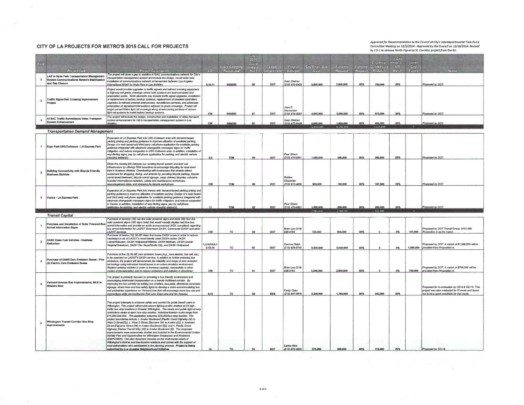÷

Approved for Recommendation to the Council at City's Interdepartmental Task Force<br>Committee Meeting on 12/5/2014 - Approved by the Council on 12/16/2014. Revised<br>by CD-1 to remove North Figueroa St. Corridor project from t

|                          |                                                                                                              |                                                                                                                                                                                                                                                                                                                                                                                                                                                                                                                                                                                                                                                                                                                                                                                                                                                                                                                                                                                                                                                                                                                                                                                                                |                                  |                      | 2015              |            |                                                      |                        |                        |            |                           | % City         |               |                                                                                                                                                   |
|--------------------------|--------------------------------------------------------------------------------------------------------------|----------------------------------------------------------------------------------------------------------------------------------------------------------------------------------------------------------------------------------------------------------------------------------------------------------------------------------------------------------------------------------------------------------------------------------------------------------------------------------------------------------------------------------------------------------------------------------------------------------------------------------------------------------------------------------------------------------------------------------------------------------------------------------------------------------------------------------------------------------------------------------------------------------------------------------------------------------------------------------------------------------------------------------------------------------------------------------------------------------------------------------------------------------------------------------------------------------------|----------------------------------|----------------------|-------------------|------------|------------------------------------------------------|------------------------|------------------------|------------|---------------------------|----------------|---------------|---------------------------------------------------------------------------------------------------------------------------------------------------|
| Rank                     |                                                                                                              |                                                                                                                                                                                                                                                                                                                                                                                                                                                                                                                                                                                                                                                                                                                                                                                                                                                                                                                                                                                                                                                                                                                                                                                                                |                                  | <b>Grant Categor</b> | Score             | Lead       | Project                                              | City Engs, Est.        | Funding                | Funding    | City Prop.<br>C / Measure | Prop. C/<br>MR | Other<br>City |                                                                                                                                                   |
|                          | Project Title                                                                                                | <b>Project Description</b>                                                                                                                                                                                                                                                                                                                                                                                                                                                                                                                                                                                                                                                                                                                                                                                                                                                                                                                                                                                                                                                                                                                                                                                     | <b>CD</b>                        | Raguested            | (100 pt)<br>Max ) | Department | Manager                                              | Cost                   | Request                | Reguest    | R Match                   | Match          | Funds         | <b>Notes</b>                                                                                                                                      |
| л                        | LAX to Hyde Park Transportation Management<br>System Communications Network Stabilization<br>and Gap Closure | The project will close a gap to stabilize ATSAC communications network for City's<br>transportation management system and include the design, construction and<br>installation of communications network enhancement between Los Angeles                                                                                                                                                                                                                                                                                                                                                                                                                                                                                                                                                                                                                                                                                                                                                                                                                                                                                                                                                                       |                                  |                      | u                 |            | Sean Skehan                                          |                        |                        |            |                           |                |               |                                                                                                                                                   |
| $\alpha$                 | <b>Traffic Signal Rail Crossing Improvement</b><br>Project                                                   | International Airport to Hirde Park in Los Angeles.<br>Project would provide upgrades to traffic signals and railroad crossing equipment<br>at highway-rail grade crossings where both systems are interconnected and<br>preemption exists. Work elements may include traffic signal upgrades, installation<br>or replacement of battery backup systems, replacement of obsolete controllers,<br>upgrades to railroad preempt interconnect, surveillance cameras, and advanced<br>preemption at signalized intersections adjacent to grade crossings. Project will<br>terget current Metro light rail crossings along street-running portions of various<br>light rail systems to install battery backup systems                                                                                                                                                                                                                                                                                                                                                                                                                                                                                               | 5, 10, 11<br>CW                  | 88&B81<br>556551     |                   | DOT<br>DOT | 213 072-8428<br>Jose D.<br>Hernandez<br>213 972-5057 | 3,500,000<br>4,880,000 | 2,800,000<br>1,880,000 | 80%<br>88% | 700,000<br>870,000        | 20%<br>20%     |               | Proposed by DOT.<br>Proposed by DOT.                                                                                                              |
|                          | <b>ATSAC Traffic Surveillance Video Transport</b>                                                            | The project will include the design, construction and installation of video transport                                                                                                                                                                                                                                                                                                                                                                                                                                                                                                                                                                                                                                                                                                                                                                                                                                                                                                                                                                                                                                                                                                                          |                                  |                      |                   |            | Sean Skehan                                          |                        |                        |            |                           |                |               |                                                                                                                                                   |
|                          | <b>System Enhancement</b>                                                                                    | system enhancement for City's transportation management system in Los<br>Anonies.                                                                                                                                                                                                                                                                                                                                                                                                                                                                                                                                                                                                                                                                                                                                                                                                                                                                                                                                                                                                                                                                                                                              | CW                               | 35&831               | 86                | DOT        | 213) 972-8428                                        | 2,000.000              | 1.600,000              | 30%        | 456,000                   | 20%            |               | Proposed by DOT.                                                                                                                                  |
|                          |                                                                                                              |                                                                                                                                                                                                                                                                                                                                                                                                                                                                                                                                                                                                                                                                                                                                                                                                                                                                                                                                                                                                                                                                                                                                                                                                                |                                  |                      |                   |            |                                                      | 12.850,000             | 10.280.000             |            | 2.570,000                 |                |               |                                                                                                                                                   |
|                          | <b>Transportation Demand Management</b>                                                                      |                                                                                                                                                                                                                                                                                                                                                                                                                                                                                                                                                                                                                                                                                                                                                                                                                                                                                                                                                                                                                                                                                                                                                                                                                |                                  |                      |                   |            |                                                      |                        |                        |            |                           |                |               |                                                                                                                                                   |
| $\mathbf{1}$             | Expo Park USC/Collseum - LA Express Park                                                                     | Expansion of LA Express Park into USC-Collseum area with demand-based<br>parking pricing and parking guidance to improve utilization of available parking.<br>Design of a web based and third party cell phone application for available parking<br>guidence integrated with electronic changeable messages signs for traffic<br>mitigation, and reduce congestion in USC-Collseum area. In addition, installation of<br>way-finding signs, pay by cell phone application for parking, and electric vehicle<br>charging station(s).                                                                                                                                                                                                                                                                                                                                                                                                                                                                                                                                                                                                                                                                            | 8.9                              | <b>TDM</b>           | 85                | DOT        | Peer Ghant<br>(213) 473-0651                         | 1,000,000              | 800,000                | 80%        | 200,000                   | 20%            |               | Proposed by DOT.                                                                                                                                  |
| $\overline{2}$           | <b>Building Connectivity with Bicycle Friendly</b><br><b>Business Districts</b>                              | Close the missing link between our existing transit system and land use<br>infrastructure by offering TDM incentives to encourage bicycling for local short<br>trips in business districts. Coordinating with businesses that already attract<br>customers for shopping, dining, and errands by providing bloyele parking, bloyele<br>corral street treatment, bicycle corral signage, cargo delivery bicycles, cohesive<br>branded informational materials, safety and maintenance workshops,<br>encouragement rides, and shopping by bicycle workshops.                                                                                                                                                                                                                                                                                                                                                                                                                                                                                                                                                                                                                                                      | CW                               | TDM                  | 85                | DOT        | Rubina<br>Ghazarian<br>(213) 972-4969                | 985,000                | 788,000                | 80%        | 197,000                   | 20%            |               | Proposed by DOT.                                                                                                                                  |
| $\overline{\mathbf{3}}$  | Venice - LA Express Park                                                                                     | Expansion of LA Express Park into Venice with demand-based parking pricing and<br>parking guidance to improve utilization of available parking. Design of a web based<br>and third party cell phone application for available parking guidance integrated with<br>electronic changeable messages signs for traffic mitigation, and reduce congestion<br>in Venice. In addition, installation of way-finding signs, pay by cell phone<br>application for partiting, and electric vehicle charging station st                                                                                                                                                                                                                                                                                                                                                                                                                                                                                                                                                                                                                                                                                                    | 11                               | <b>TDM</b>           | 83                | <b>DOT</b> | Peer Ghant<br>(213) 473-0651                         | 1,000,000              | 800,000                | 80%        | 200,000                   | 20%            |               | Proposed by DOT                                                                                                                                   |
|                          |                                                                                                              |                                                                                                                                                                                                                                                                                                                                                                                                                                                                                                                                                                                                                                                                                                                                                                                                                                                                                                                                                                                                                                                                                                                                                                                                                |                                  |                      |                   |            |                                                      | 2.985.000              | 2.388.000              |            | 597,000                   |                |               |                                                                                                                                                   |
|                          | <b>Transit Capital</b>                                                                                       | Purchase of seventy (70) two line solar powered signs and thirty (30) four line                                                                                                                                                                                                                                                                                                                                                                                                                                                                                                                                                                                                                                                                                                                                                                                                                                                                                                                                                                                                                                                                                                                                |                                  |                      |                   |            |                                                      |                        |                        |            |                           |                |               |                                                                                                                                                   |
| $\overline{1}$           | Purchase and Installation of Solar Powered Bus<br><b>Arrival Information Signs</b>                           | soler powered signs (100 signs total) that would visually display real time bus<br>arrival information and provide an audio announcement (ADA compliant) regarding<br>bus arrival information for LADOT Downtown DASH, Community DASH and other<br>LADOT services.                                                                                                                                                                                                                                                                                                                                                                                                                                                                                                                                                                                                                                                                                                                                                                                                                                                                                                                                             | CW                               | TC                   | 95                | DOT        | Brian Lee (213)<br>928-9784                          | 755,000                | 604,000                | 80%        |                           | $0\%$          |               | Proposed by DOT Transit Group. \$151,000<br>151,000 Proposition A as the match.                                                                   |
| $\overline{2}$           | DASH Clean Fuel Vehicles - Headway<br>Reduction                                                              | Purchase of twelve (12) 30-35' clean fuel buses DASH buses in order to reduce<br>headways in six of LADOT's most heavily used DASH routes: DASH<br>Leimert/Sieuson, DASH Hollywood/Wilshire, DASH Mkitown, DASH Lincoln<br>Heights/Chinatown, DASH Van Nuys/Studio City, and DASH Hollywood.                                                                                                                                                                                                                                                                                                                                                                                                                                                                                                                                                                                                                                                                                                                                                                                                                                                                                                                   | 1, 2, 4, 6, 8, 9, 1<br>0, 13, 14 | TC                   | 93                | DOT        | Corinne Ralph<br>(213) 928-9745                      | 6,300,000              | 5,040,000              | 80%        | $\ddot{\mathbf{0}}$       | $0\%$          |               | Proposed by DOT. A match of \$1,260,000 will be<br>1,260,000 provided from Proposition A.                                                         |
| $\overline{\mathbf{3}}$  | Purchase of DASH Zero Emission Buses - Five<br>(5) Electric Zero Emission Buses                              | Purchase of five (5) 30-35' zero emission buses (e.g., pure electric, fuel cell, etc.)<br>to be operated on LADOT's DASH service, In addition to further reducing bus<br>ernissions, the project will demonstrate the reliability and range of zero emission<br>technology using mid-sized transit buses in an urban circulator environment.<br>Replace existing vehicles in order to increase capacity, connectivity to other<br>modes of transportation and to reduce emissions and pollution in downtown.                                                                                                                                                                                                                                                                                                                                                                                                                                                                                                                                                                                                                                                                                                   | CW                               | TC                   | 91                | DOT        | Brien Lee (213)<br>028-0784                          | 3,500,000              | 2,800,000              | 80%        | $\Omega$                  | $0\%$          |               | Proposed by DOT. A match of \$700,000 will be<br>700,000 provided from Proposition A.                                                             |
| $\overline{\phantom{a}}$ | Vermont Avenue Bus improvements, MLK to<br>Wilshire Blvd                                                     | The project is primarily focused on providing a bus friendly environment and<br>encouraging intermodal transportation on a heavily trafficked corridor. By<br>improving the bus corridor by adding bus shelters, bus pads, directional concreate<br>signage, street trees and bus safety lights to develop a more accommodating bus<br>and pedestrian experience on Vermont Ave that will encourage more bus use and<br>connections while connecting the Red Line, Expo Line and ten freeway                                                                                                                                                                                                                                                                                                                                                                                                                                                                                                                                                                                                                                                                                                                   | 8,10                             | <b>TC</b>            | 89                | <b>BSS</b> | Ferdy Chan<br>(213) 847-0870                         | 2,200,000              | 1,760,000              | 80%        | 440,000                   | 20%            |               | Proposed for re-evaluation by CD-8 & CD-10. This<br>project was also evaluated for PI mode and found<br>not to be a good candidate for that mode. |
| ×                        | Wilmington Transit Corridor Bus Stop<br>norovement                                                           | This project attempts to enhance safety and comfort for public transit users in<br>Wilmington. This project will provide secure lighting and/or shelters at 23 high-<br>traffic bus stop locations in Greater Wilmington. The needs and public right-of-way<br>restrictions varies at each bus stop location. Individual location costs range from<br>\$15,000-\$40,000. This application assumes \$25,000/bus stop location. The<br>project boundaries include 1. Avalon Boulevard [Pacific Coast Highway (N) to<br>West D Street(S)]; 2. West D Street [Bayview (W) to Avalon (E)]; 3. Anahelm<br>Street [Figueroa Street (W) to Avalon Boulevard (E)]; and 4. Pacific Coast<br>Highway [Harbor Transit Way (W) to Avalon Boulevard (E). The proposed<br>improvements were extensively studied and included in the Environmental Justice<br>Mobility Plan and Opportunities for Wilmington Employees and Residents<br>(EMPOWER). This plan document focuses on the multi-modal needs of<br>Wilmington's diverse and low-income residents and comes with the support of<br>local stakeholders who participated in the planning process. Project is being<br>submitted by Los Angeles Neighborhood initiative. | 15                               | <b>TC</b>            | 79                | DOT.       | <b>Carlos Rios</b><br>(213) 972-4963                 | 575,000                | 460,000                | 80%        | 115,000                   | 20%            |               | Proposed by CD-15.                                                                                                                                |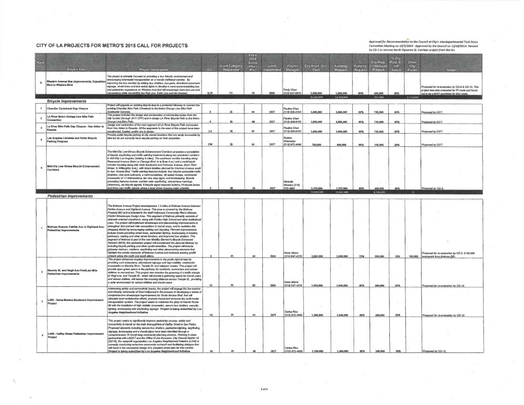Approved for Recommendatio<mark>n</mark> to the Council at City's interdepartmental Task Force<br>Committee Meeting on 12/5/2014 - Approved by the Council on 12/16/2014. Revised<br>by CD-1 to remove North Figueroa St. Corridor project from

| Rank                    |                                                                        |                                                                                                                                                                                                                                                                                                                                                                                                                                                                                                                                                                                                                                                                                                                                                                                                                                                                                                                                                                                                                                                                                                                                                                                                                                                                                                                |            | <b>Grant Category</b> | 2015<br>Score<br>(100 pts) | Load              | Project                                     | City Engs.' Est.  | Funding              | Funding    | City Prop.<br>C / Measure  | % City<br>Prop. C/<br>MR | Other<br>City |                                                                                                                                                                   |
|-------------------------|------------------------------------------------------------------------|----------------------------------------------------------------------------------------------------------------------------------------------------------------------------------------------------------------------------------------------------------------------------------------------------------------------------------------------------------------------------------------------------------------------------------------------------------------------------------------------------------------------------------------------------------------------------------------------------------------------------------------------------------------------------------------------------------------------------------------------------------------------------------------------------------------------------------------------------------------------------------------------------------------------------------------------------------------------------------------------------------------------------------------------------------------------------------------------------------------------------------------------------------------------------------------------------------------------------------------------------------------------------------------------------------------|------------|-----------------------|----------------------------|-------------------|---------------------------------------------|-------------------|----------------------|------------|----------------------------|--------------------------|---------------|-------------------------------------------------------------------------------------------------------------------------------------------------------------------|
| ٠                       | Project Title<br><b>Blvd to Wilshire Blvd</b>                          | <b>Project Description</b><br>The project is primarily focused on providing a bus friendly environment and<br>Western Avenue Bus Improvements, Exposition encouraging intermodal transportation on a heavily trafficked combier. By<br>signage, street trees and bus safety lights to develop a more accommodating bus<br>and pedestrian experience on Western Ave that will encourage more bus use and<br>connections while connecting the Red Line, Exac Line and ten freeway.                                                                                                                                                                                                                                                                                                                                                                                                                                                                                                                                                                                                                                                                                                                                                                                                                               | CD<br>8.10 | Requested<br>TO       | $Max$ )<br>76              | Department<br>888 | Manager<br>Forth Chev<br>(213) 547-5870     | Cast<br>2,000,000 | Request<br>1,006,000 | <b>NO%</b> | Request R Match<br>400,000 | <b>Match</b><br>20%      | Funds         | <b>Notes</b><br>Proposed for re-evaluation by CD-8 & CD-10. This<br>project was also evaluated for PI mode and found<br>not to be a good candidate for that mode. |
|                         |                                                                        |                                                                                                                                                                                                                                                                                                                                                                                                                                                                                                                                                                                                                                                                                                                                                                                                                                                                                                                                                                                                                                                                                                                                                                                                                                                                                                                |            |                       |                            |                   |                                             | 15,330,000        | 12.264,000           |            | 955.000                    |                          | 2.114,000     |                                                                                                                                                                   |
|                         | <b>Bicycle improvements</b>                                            |                                                                                                                                                                                                                                                                                                                                                                                                                                                                                                                                                                                                                                                                                                                                                                                                                                                                                                                                                                                                                                                                                                                                                                                                                                                                                                                |            |                       |                            |                   |                                             |                   |                      |            |                            |                          |               |                                                                                                                                                                   |
|                         | Chandler Cycletrack Gap Choaure                                        | Project will upgrade an existing bicycle lane to a protected bikeway to connect the<br>existing Chandler Bike Path (Vineland) to the Metro Orange Line Bike Path<br>(Coldwater Canyon).                                                                                                                                                                                                                                                                                                                                                                                                                                                                                                                                                                                                                                                                                                                                                                                                                                                                                                                                                                                                                                                                                                                        |            |                       | 91                         | DOT               | Pauline Chan<br>(213) 928-0705              | 3,600,000         | 2,880,000            | 60%        | 720,000                    | 20%                      |               | Proposed by DOT                                                                                                                                                   |
| $\mathbf{z}$            | LA River Metro Orange Line Bike Path<br>Connection                     | This project includes the design and construction of connecting ramps from the<br>fully funded (through 2011 CFP) and in design LA River Bicycle Path to the Metro<br>Orange Line Bike Path.                                                                                                                                                                                                                                                                                                                                                                                                                                                                                                                                                                                                                                                                                                                                                                                                                                                                                                                                                                                                                                                                                                                   |            | RU                    | 88                         | DOT               | Pauline Chan<br>(213) 928-9705              | 3,800,000         | 2,880,000            | 80%        | 720,000                    | 20%                      |               | Proposed by DOT                                                                                                                                                   |
| $\mathbf{3}$            | La River Blke Path Gap Closure - Van Alden to<br>Renade                | Design and contraction of the next segment of LA River Bloycle Path connection<br>from Van Alden to Resede. All the segments to the west of this project have been<br>constructed, funded, and/or are in design.                                                                                                                                                                                                                                                                                                                                                                                                                                                                                                                                                                                                                                                                                                                                                                                                                                                                                                                                                                                                                                                                                               | 3.5        | 8 <sub>i</sub>        | 87                         | DOT               | Pauline Chan<br>(213) 028-0705              | 3,600,000         | 2,880,000            | 80%        | 720,000                    | 30%                      |               | Proposed by DOT.                                                                                                                                                  |
| $\ddot{\phantom{a}}$    | Los Angeles Libraries and Parks Bloycle<br><b>Parking Program</b>      | Provide public bicycle parking at city owned locations that are easily accessible by<br>bike but do not currently have bicycle perking on their properties.                                                                                                                                                                                                                                                                                                                                                                                                                                                                                                                                                                                                                                                                                                                                                                                                                                                                                                                                                                                                                                                                                                                                                    |            |                       |                            |                   | Rubina<br>Ghazarian                         |                   |                      |            |                            |                          |               |                                                                                                                                                                   |
|                         |                                                                        |                                                                                                                                                                                                                                                                                                                                                                                                                                                                                                                                                                                                                                                                                                                                                                                                                                                                                                                                                                                                                                                                                                                                                                                                                                                                                                                | CW         | <b>BI</b>             | 81                         | DOT               | (213) 972-4989                              | 750,000           | 600,000              | 80%        | 150,000                    | 20%                      |               | Proposed by DOT.                                                                                                                                                  |
| $\delta$                | Mid-City Low Stress Bloycle Enhancement<br>Corridore                   | The Mid-City Low-Stress Bloycle Enhancement Corridors proposes a compilation<br>of bicycle wayfinding and traffic calming treatments along two prominent corridors<br>in Mid-City Los Angeles (totaling 3 miles). The east/west corridor traveling along<br>Rosewood Avenue (from La Cienega Blvd, to la Bree Ave.) and a north/south<br>corridor traveling along Alta Vista Boulevard and Formosa Avenue, (from Third<br>Street. to Willoughby Ave.), with future facilities planned for Cochran Avenue south<br>to San Vicente Blvd. Traffic calming fastures include: four bloycle accessible traffic<br>diverters, nine curb bulb-outs, a mini-roundabout, 40 speed humps, continental<br>crosswalks at 11 intersections, ten new stop signs, and landscaping. Bloycle<br>promoting features include: corridor wide wayfinding, shared lane markings<br>(sharrows), six bicycle signels, 8 bicycle signal requests buttons, 16 bicycle boxes<br>and three new traffic signals where a local street crosses may arterials.                                                                                                                                                                                                                                                                                  |            |                       | 76                         | DOT               | Michelle<br><b>Mowery (213)</b><br>972-4982 | 1,134,600         | 1,707,680            | 80%        | 426,920                    | 20%                      |               | Proposed by CD-5.                                                                                                                                                 |
|                         |                                                                        |                                                                                                                                                                                                                                                                                                                                                                                                                                                                                                                                                                                                                                                                                                                                                                                                                                                                                                                                                                                                                                                                                                                                                                                                                                                                                                                |            |                       |                            |                   |                                             | 13,684,600        | 10.947,680           |            | 2,736,920                  |                          | $\mathbf{B}$  |                                                                                                                                                                   |
|                         | Pedestrian Improvements                                                |                                                                                                                                                                                                                                                                                                                                                                                                                                                                                                                                                                                                                                                                                                                                                                                                                                                                                                                                                                                                                                                                                                                                                                                                                                                                                                                |            |                       |                            |                   |                                             |                   |                      |            |                            |                          |               |                                                                                                                                                                   |
|                         | Melrose Avenue-Fairfax Ave to Highland Ave:<br>Pedestrian improvements | The Meirose Avenue Project encompasses 1.3 miles of Meirose Avenue between<br>Fairfax Avenue and Highland Avenue. This area is covered by the Melrose<br>Property BID and is included in the draft Hollywood Community Plan's Melrose<br>District Streetscape Design Area. This segment of Meirose primerily consists of<br>sidewaik-oriented storefronts, along with Fairfax High School and other institutional<br>uses. The project will implement streetscape and placemaking improvements to<br>strengthen first and lest mile connections to transit stops, and to revitalize this<br>shopping district by encouraging walking and bioycling. Plenned improvements<br>include shade-providing street trees, pedestrien lighting, landscaping of existing<br>parkways, seating and other street furniture, and improved bus shalters. This<br>segment of Melrose is part of the new Mobility Element's Bicycle Enhanced<br>Network (BEN); this pedestrian project will complement the planned bikeway by<br>including bloycle parking and other cyclist amenities. The project will include<br>galeway merkers, medians, wayfinding and other plecernaking elements that<br>highlight the artistic character of Melrose Avenue and embrace existing graffiti<br>ertwork along the north and south alleys. |            | PI                    | 82                         | <b>B8S</b>        | Kevin Minne<br>$(213) 847 - 4276$           | 2,650,000         | 2,000,000            | 75%        | 500,000                    | 19%                      |               | Proposed for re-evaluation by CD-3. \$150,000<br>150,000 overmetch from Meirose BID.                                                                              |
| $\overline{2}$          | Beverly Bl. and Virgil Ave First/Lest Mile<br>Pedestrian Improvements  | This project enhances ongoing improvements in the public right-of-way by<br>providing curb extensions, educational signage and high-visibility, continental<br>crosswalks on Beverly Blvd., Temple St. and adjacent streets. This project will<br>provide open green space in the parkway for residents, commuters and school<br>children to rest and eat. This project also includes the greening of a traffic triangle<br>at Virgil Ave. and Temple St., which will provide a gathering space for transit users<br>and school children, will reduce the crossing distance across Temple St., providing<br>a safer environment for school children and transit users.                                                                                                                                                                                                                                                                                                                                                                                                                                                                                                                                                                                                                                         | 13         | PI                    | 82                         | <b>BSS</b>        | Kevin Minne<br>(213) 847-4278               | 1,300,000         | 1,040,000            | 80%        | 260,000                    | 20%                      |               | Proponed for re-evaluation by CD-13.                                                                                                                              |
| $\overline{\mathbf{3}}$ | LANI - Santa Monica Boulevard Improvement<br><b>Project</b>            | Addressing safety and connectivity issues, the project will engage the low-income<br>and minority community of East Hollywood in the process of developing a series of<br>comprehensive streetscape improvements for Santa Monica Blvd, that will<br>stimulate local revitalization efforts, promote transit and enhance the multi-modal<br>transportation system. The project seeks to celebrate the glory of historic Route<br>66 with the installation of high visibility crosswalks, secure bus shelters, security-<br>lighting, lendscaping and wayfinding signage. Project is being submitted by Los<br>Angeles Neighborhood initiative.                                                                                                                                                                                                                                                                                                                                                                                                                                                                                                                                                                                                                                                                 | 13         | PI                    | 81                         | DOT               | Carlos Rios<br>(213) 072-4063               | 1,300,000         | 1,040,000            | 80%        | 260,000                    | 89%                      |               | Proposed for re-evaluation by CD-13.                                                                                                                              |
| $\blacktriangleleft$    | LANI - Gaffey Street Pedestrian Improvement<br>Project                 | This project seeks to significantly improve pedestrian access, safety and<br>connectivity to transit on the main thoroughfare of Gaffey Street in San Pedro.<br>Proposed elements including secure bus shelters, pedestrien-lighting, wayfinding<br>signage, lendscaping and a transit plaze have been identified through a<br>comprehensive 18 month-long community-planning process. Working in close<br>cartnership with LADOT and the Office of Joe Buscaino, City Council District 15<br>(CD15), the nonprofit organization Los Angeles Neighborhood Initiative (LANI) is<br>currently conducting extensive community outreach and facilitating dialogue that<br>will result in the conceptual design of a complete street plan for this corridor.<br>Project is being submitted by Los Angeles Naighborhood initiative.                                                                                                                                                                                                                                                                                                                                                                                                                                                                                  | 15         | P1                    | 60                         | DOT               | Carlos Rica<br>$(213)$ $972 - 1983$         | 1,700,000         | 1,360,000            | 80%        | 340,000                    | 20%                      |               | Proposed by CD-15.                                                                                                                                                |